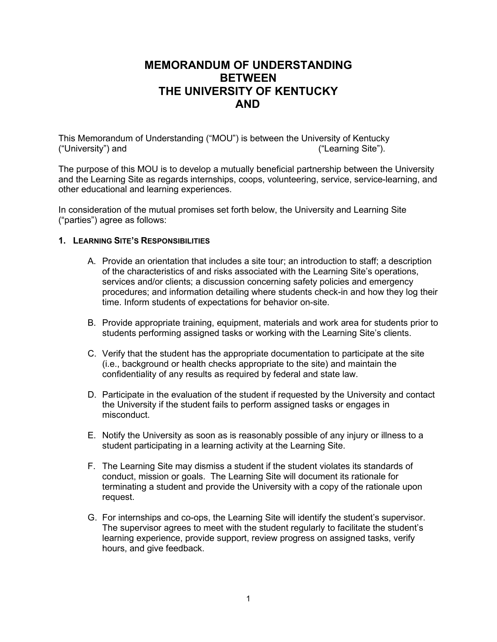# **MEMORANDUM OF UNDERSTANDING BETWEEN THE UNIVERSITY OF KENTUCKY AND**

This Memorandum of Understanding ("MOU") is between the University of Kentucky ("University") and ("Learning Site").

The purpose of this MOU is to develop a mutually beneficial partnership between the University and the Learning Site as regards internships, coops, volunteering, service, service-learning, and other educational and learning experiences.

In consideration of the mutual promises set forth below, the University and Learning Site ("parties") agree as follows:

### **1. LEARNING SITE'S RESPONSIBILITIES**

- A. Provide an orientation that includes a site tour; an introduction to staff; a description of the characteristics of and risks associated with the Learning Site's operations, services and/or clients; a discussion concerning safety policies and emergency procedures; and information detailing where students check-in and how they log their time. Inform students of expectations for behavior on-site.
- B. Provide appropriate training, equipment, materials and work area for students prior to students performing assigned tasks or working with the Learning Site's clients.
- C. Verify that the student has the appropriate documentation to participate at the site (i.e., background or health checks appropriate to the site) and maintain the confidentiality of any results as required by federal and state law.
- D. Participate in the evaluation of the student if requested by the University and contact the University if the student fails to perform assigned tasks or engages in misconduct.
- E. Notify the University as soon as is reasonably possible of any injury or illness to a student participating in a learning activity at the Learning Site.
- F. The Learning Site may dismiss a student if the student violates its standards of conduct, mission or goals. The Learning Site will document its rationale for terminating a student and provide the University with a copy of the rationale upon request.
- G. For internships and co-ops, the Learning Site will identify the student's supervisor. The supervisor agrees to meet with the student regularly to facilitate the student's learning experience, provide support, review progress on assigned tasks, verify hours, and give feedback.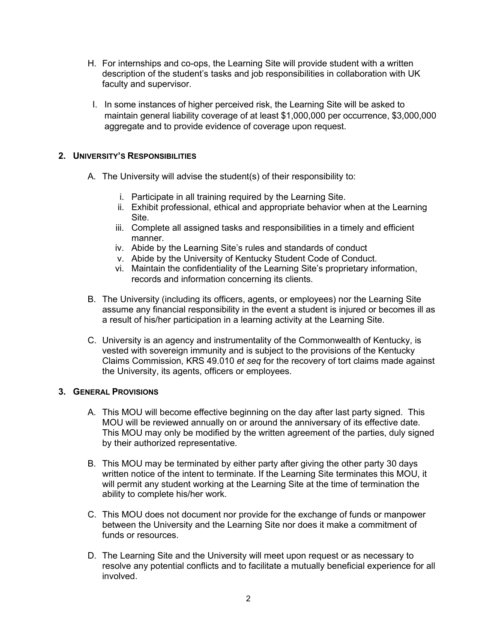- H. For internships and co-ops, the Learning Site will provide student with a written description of the student's tasks and job responsibilities in collaboration with UK faculty and supervisor.
- I. In some instances of higher perceived risk, the Learning Site will be asked to maintain general liability coverage of at least \$1,000,000 per occurrence, \$3,000,000 aggregate and to provide evidence of coverage upon request.

# **2. UNIVERSITY'S RESPONSIBILITIES**

- A. The University will advise the student(s) of their responsibility to:
	- i. Participate in all training required by the Learning Site.
	- ii. Exhibit professional, ethical and appropriate behavior when at the Learning Site.
	- iii. Complete all assigned tasks and responsibilities in a timely and efficient manner.
	- iv. Abide by the Learning Site's rules and standards of conduct
	- v. Abide by the University of Kentucky Student Code of Conduct.
	- vi. Maintain the confidentiality of the Learning Site's proprietary information, records and information concerning its clients.
- B. The University (including its officers, agents, or employees) nor the Learning Site assume any financial responsibility in the event a student is injured or becomes ill as a result of his/her participation in a learning activity at the Learning Site.
- C. University is an agency and instrumentality of the Commonwealth of Kentucky, is vested with sovereign immunity and is subject to the provisions of the Kentucky Claims Commission, KRS 49.010 *et seq* for the recovery of tort claims made against the University, its agents, officers or employees.

## **3. GENERAL PROVISIONS**

- A. This MOU will become effective beginning on the day after last party signed. This MOU will be reviewed annually on or around the anniversary of its effective date. This MOU may only be modified by the written agreement of the parties, duly signed by their authorized representative.
- B. This MOU may be terminated by either party after giving the other party 30 days written notice of the intent to terminate. If the Learning Site terminates this MOU, it will permit any student working at the Learning Site at the time of termination the ability to complete his/her work.
- C. This MOU does not document nor provide for the exchange of funds or manpower between the University and the Learning Site nor does it make a commitment of funds or resources.
- D. The Learning Site and the University will meet upon request or as necessary to resolve any potential conflicts and to facilitate a mutually beneficial experience for all involved.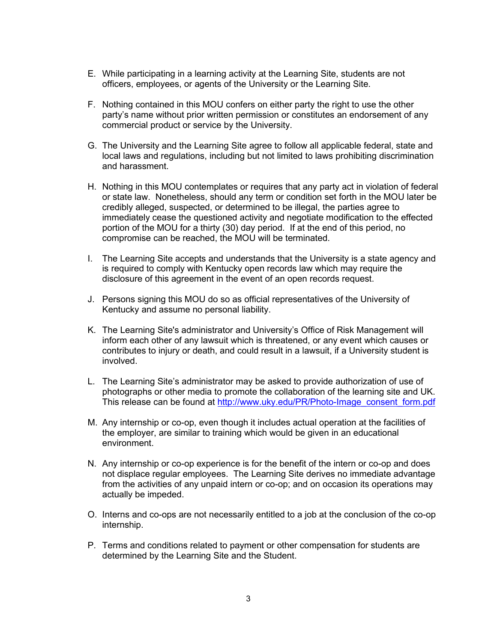- E. While participating in a learning activity at the Learning Site, students are not officers, employees, or agents of the University or the Learning Site.
- F. Nothing contained in this MOU confers on either party the right to use the other party's name without prior written permission or constitutes an endorsement of any commercial product or service by the University.
- G. The University and the Learning Site agree to follow all applicable federal, state and local laws and regulations, including but not limited to laws prohibiting discrimination and harassment.
- H. Nothing in this MOU contemplates or requires that any party act in violation of federal or state law. Nonetheless, should any term or condition set forth in the MOU later be credibly alleged, suspected, or determined to be illegal, the parties agree to immediately cease the questioned activity and negotiate modification to the effected portion of the MOU for a thirty (30) day period. If at the end of this period, no compromise can be reached, the MOU will be terminated.
- I. The Learning Site accepts and understands that the University is a state agency and is required to comply with Kentucky open records law which may require the disclosure of this agreement in the event of an open records request.
- J. Persons signing this MOU do so as official representatives of the University of Kentucky and assume no personal liability.
- K. The Learning Site's administrator and University's Office of Risk Management will inform each other of any lawsuit which is threatened, or any event which causes or contributes to injury or death, and could result in a lawsuit, if a University student is involved.
- L. The Learning Site's administrator may be asked to provide authorization of use of photographs or other media to promote the collaboration of the learning site and UK. This release can be found at [http://www.uky.edu/PR/Photo-Image\\_consent\\_form.pdf](http://www.uky.edu/PR/Photo-Image_consent_form.pdf)
- M. Any internship or co-op, even though it includes actual operation at the facilities of the employer, are similar to training which would be given in an educational environment.
- N. Any internship or co-op experience is for the benefit of the intern or co-op and does not displace regular employees. The Learning Site derives no immediate advantage from the activities of any unpaid intern or co-op; and on occasion its operations may actually be impeded.
- O. Interns and co-ops are not necessarily entitled to a job at the conclusion of the co-op internship.
- P. Terms and conditions related to payment or other compensation for students are determined by the Learning Site and the Student.